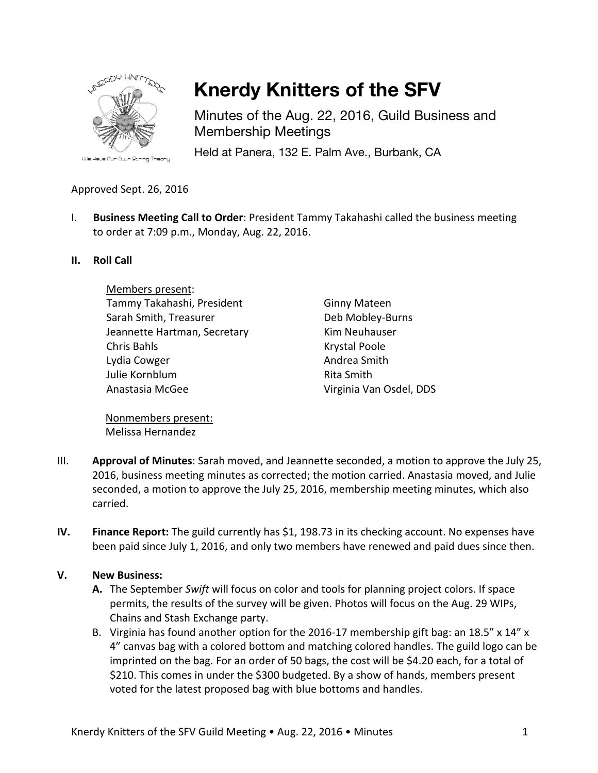

# **Knerdy Knitters of the SFV**

Minutes of the Aug. 22, 2016, Guild Business and Membership Meetings

Held at Panera, 132 E. Palm Ave., Burbank, CA

### Approved Sept. 26, 2016

I. **Business Meeting Call to Order**: President Tammy Takahashi called the business meeting to order at 7:09 p.m., Monday, Aug. 22, 2016.

#### **II. Roll Call**

Members present: Tammy Takahashi, President Sarah Smith, Treasurer Jeannette Hartman, Secretary Chris Bahls Lydia Cowger Julie Kornblum Anastasia McGee

Ginny Mateen Deb Mobley-Burns Kim Neuhauser Krystal Poole Andrea Smith Rita Smith Virginia Van Osdel, DDS

Nonmembers present: Melissa Hernandez

- III. **Approval of Minutes**: Sarah moved, and Jeannette seconded, a motion to approve the July 25, 2016, business meeting minutes as corrected; the motion carried. Anastasia moved, and Julie seconded, a motion to approve the July 25, 2016, membership meeting minutes, which also carried.
- **IV. Finance Report:** The guild currently has \$1, 198.73 in its checking account. No expenses have been paid since July 1, 2016, and only two members have renewed and paid dues since then.

#### **V. New Business:**

- **A.** The September *Swift* will focus on color and tools for planning project colors. If space permits, the results of the survey will be given. Photos will focus on the Aug. 29 WIPs, Chains and Stash Exchange party.
- B. Virginia has found another option for the 2016-17 membership gift bag: an 18.5" x 14" x 4" canvas bag with a colored bottom and matching colored handles. The guild logo can be imprinted on the bag. For an order of 50 bags, the cost will be \$4.20 each, for a total of \$210. This comes in under the \$300 budgeted. By a show of hands, members present voted for the latest proposed bag with blue bottoms and handles.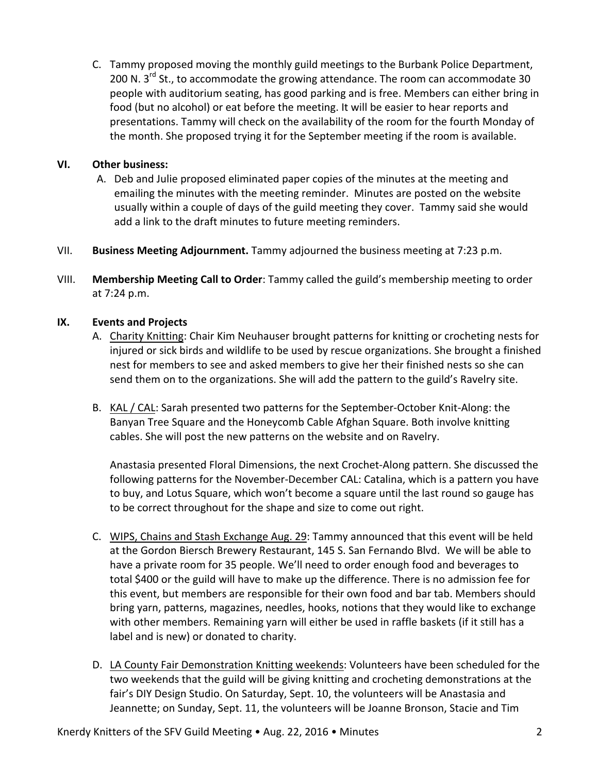C. Tammy proposed moving the monthly guild meetings to the Burbank Police Department, 200 N.  $3<sup>rd</sup>$  St., to accommodate the growing attendance. The room can accommodate 30 people with auditorium seating, has good parking and is free. Members can either bring in food (but no alcohol) or eat before the meeting. It will be easier to hear reports and presentations. Tammy will check on the availability of the room for the fourth Monday of the month. She proposed trying it for the September meeting if the room is available.

#### **VI. Other business:**

- A. Deb and Julie proposed eliminated paper copies of the minutes at the meeting and emailing the minutes with the meeting reminder. Minutes are posted on the website usually within a couple of days of the guild meeting they cover. Tammy said she would add a link to the draft minutes to future meeting reminders.
- VII. **Business Meeting Adjournment.** Tammy adjourned the business meeting at 7:23 p.m.
- VIII. **Membership Meeting Call to Order**: Tammy called the guild's membership meeting to order at 7:24 p.m.

#### **IX. Events and Projects**

- A. Charity Knitting: Chair Kim Neuhauser brought patterns for knitting or crocheting nests for injured or sick birds and wildlife to be used by rescue organizations. She brought a finished nest for members to see and asked members to give her their finished nests so she can send them on to the organizations. She will add the pattern to the guild's Ravelry site.
- B. KAL / CAL: Sarah presented two patterns for the September-October Knit-Along: the Banyan Tree Square and the Honeycomb Cable Afghan Square. Both involve knitting cables. She will post the new patterns on the website and on Ravelry.

Anastasia presented Floral Dimensions, the next Crochet-Along pattern. She discussed the following patterns for the November-December CAL: Catalina, which is a pattern you have to buy, and Lotus Square, which won't become a square until the last round so gauge has to be correct throughout for the shape and size to come out right.

- C. WIPS, Chains and Stash Exchange Aug. 29: Tammy announced that this event will be held at the Gordon Biersch Brewery Restaurant, 145 S. San Fernando Blvd. We will be able to have a private room for 35 people. We'll need to order enough food and beverages to total \$400 or the guild will have to make up the difference. There is no admission fee for this event, but members are responsible for their own food and bar tab. Members should bring yarn, patterns, magazines, needles, hooks, notions that they would like to exchange with other members. Remaining yarn will either be used in raffle baskets (if it still has a label and is new) or donated to charity.
- D. LA County Fair Demonstration Knitting weekends: Volunteers have been scheduled for the two weekends that the guild will be giving knitting and crocheting demonstrations at the fair's DIY Design Studio. On Saturday, Sept. 10, the volunteers will be Anastasia and Jeannette; on Sunday, Sept. 11, the volunteers will be Joanne Bronson, Stacie and Tim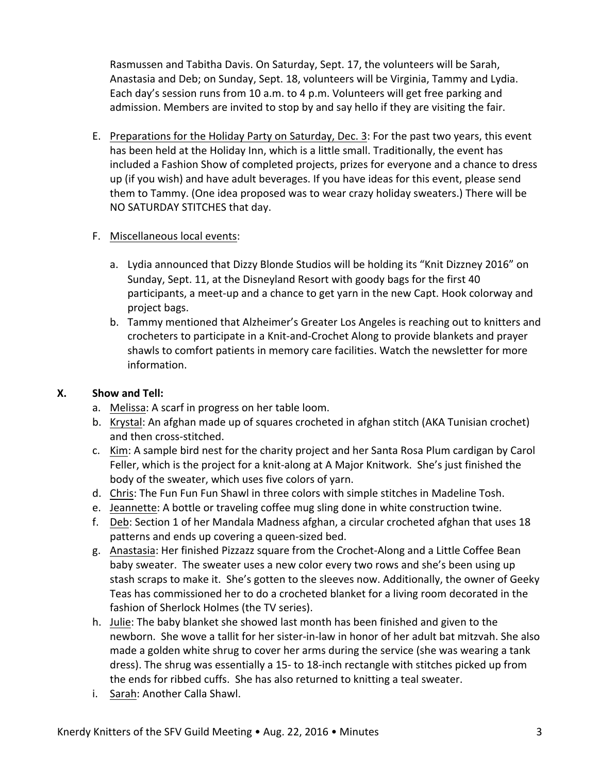Rasmussen and Tabitha Davis. On Saturday, Sept. 17, the volunteers will be Sarah, Anastasia and Deb; on Sunday, Sept. 18, volunteers will be Virginia, Tammy and Lydia. Each day's session runs from 10 a.m. to 4 p.m. Volunteers will get free parking and admission. Members are invited to stop by and say hello if they are visiting the fair.

E. Preparations for the Holiday Party on Saturday, Dec. 3: For the past two years, this event has been held at the Holiday Inn, which is a little small. Traditionally, the event has included a Fashion Show of completed projects, prizes for everyone and a chance to dress up (if you wish) and have adult beverages. If you have ideas for this event, please send them to Tammy. (One idea proposed was to wear crazy holiday sweaters.) There will be NO SATURDAY STITCHES that day.

#### F. Miscellaneous local events:

- a. Lydia announced that Dizzy Blonde Studios will be holding its "Knit Dizzney 2016" on Sunday, Sept. 11, at the Disneyland Resort with goody bags for the first 40 participants, a meet-up and a chance to get yarn in the new Capt. Hook colorway and project bags.
- b. Tammy mentioned that Alzheimer's Greater Los Angeles is reaching out to knitters and crocheters to participate in a Knit-and-Crochet Along to provide blankets and prayer shawls to comfort patients in memory care facilities. Watch the newsletter for more information.

## **X. Show and Tell:**

- a. Melissa: A scarf in progress on her table loom.
- b. Krystal: An afghan made up of squares crocheted in afghan stitch (AKA Tunisian crochet) and then cross-stitched.
- c. Kim: A sample bird nest for the charity project and her Santa Rosa Plum cardigan by Carol Feller, which is the project for a knit-along at A Major Knitwork. She's just finished the body of the sweater, which uses five colors of yarn.
- d. Chris: The Fun Fun Fun Shawl in three colors with simple stitches in Madeline Tosh.
- e. Jeannette: A bottle or traveling coffee mug sling done in white construction twine.
- f. Deb: Section 1 of her Mandala Madness afghan, a circular crocheted afghan that uses 18 patterns and ends up covering a queen-sized bed.
- g. Anastasia: Her finished Pizzazz square from the Crochet-Along and a Little Coffee Bean baby sweater. The sweater uses a new color every two rows and she's been using up stash scraps to make it. She's gotten to the sleeves now. Additionally, the owner of Geeky Teas has commissioned her to do a crocheted blanket for a living room decorated in the fashion of Sherlock Holmes (the TV series).
- h. Julie: The baby blanket she showed last month has been finished and given to the newborn. She wove a tallit for her sister-in-law in honor of her adult bat mitzvah. She also made a golden white shrug to cover her arms during the service (she was wearing a tank dress). The shrug was essentially a 15- to 18-inch rectangle with stitches picked up from the ends for ribbed cuffs. She has also returned to knitting a teal sweater.
- i. Sarah: Another Calla Shawl.